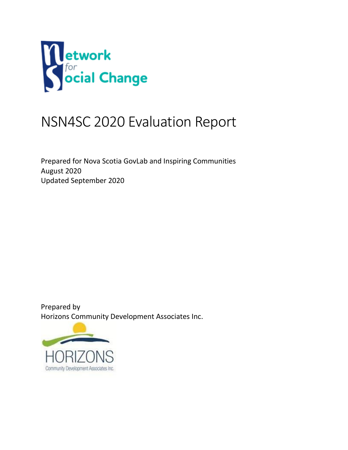

# NSN4SC 2020 Evaluation Report

Prepared for Nova Scotia GovLab and Inspiring Communities August 2020 Updated September 2020

Prepared by Horizons Community Development Associates Inc.

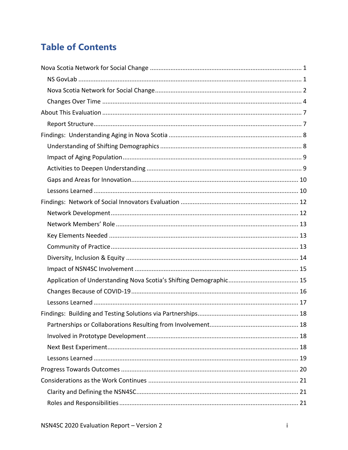# **Table of Contents**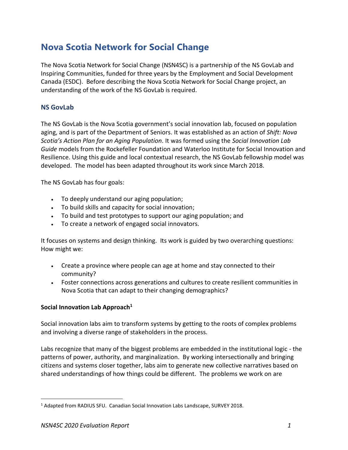# **Nova Scotia Network for Social Change**

The Nova Scotia Network for Social Change (NSN4SC) is a partnership of the NS GovLab and Inspiring Communities, funded for three years by the Employment and Social Development Canada (ESDC). Before describing the Nova Scotia Network for Social Change project, an understanding of the work of the NS GovLab is required.

### **NS GovLab**

The NS GovLab is the Nova Scotia government's social innovation lab, focused on population aging, and is part of the Department of Seniors. It was established as an action of *Shift: Nova Scotia's Action Plan for an Aging Population*. It was formed using the *Social Innovation Lab Guide* models from the Rockefeller Foundation and Waterloo Institute for Social Innovation and Resilience. Using this guide and local contextual research, the NS GovLab fellowship model was developed. The model has been adapted throughout its work since March 2018.

The NS GovLab has four goals:

- To deeply understand our aging population;
- To build skills and capacity for social innovation;
- To build and test prototypes to support our aging population; and
- To create a network of engaged social innovators.

It focuses on systems and design thinking. Its work is guided by two overarching questions: How might we:

- Create a province where people can age at home and stay connected to their community?
- Foster connections across generations and cultures to create resilient communities in Nova Scotia that can adapt to their changing demographics?

#### **Social Innovation Lab Approach<sup>1</sup>**

Social innovation labs aim to transform systems by getting to the roots of complex problems and involving a diverse range of stakeholders in the process.

Labs recognize that many of the biggest problems are embedded in the institutional logic - the patterns of power, authority, and marginalization. By working intersectionally and bringing citizens and systems closer together, labs aim to generate new collective narratives based on shared understandings of how things could be different. The problems we work on are

<sup>&</sup>lt;sup>1</sup> Adapted from RADIUS SFU. Canadian Social Innovation Labs Landscape, SURVEY 2018.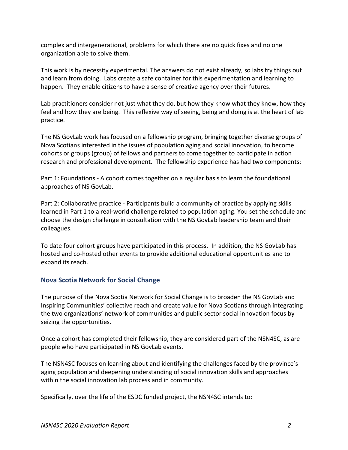complex and intergenerational, problems for which there are no quick fixes and no one organization able to solve them.

This work is by necessity experimental. The answers do not exist already, so labs try things out and learn from doing. Labs create a safe container for this experimentation and learning to happen. They enable citizens to have a sense of creative agency over their futures.

Lab practitioners consider not just what they do, but how they know what they know, how they feel and how they are being. This reflexive way of seeing, being and doing is at the heart of lab practice.

The NS GovLab work has focused on a fellowship program, bringing together diverse groups of Nova Scotians interested in the issues of population aging and social innovation, to become cohorts or groups (group) of fellows and partners to come together to participate in action research and professional development. The fellowship experience has had two components:

Part 1: Foundations - A cohort comes together on a regular basis to learn the foundational approaches of NS GovLab.

Part 2: Collaborative practice - Participants build a community of practice by applying skills learned in Part 1 to a real-world challenge related to population aging. You set the schedule and choose the design challenge in consultation with the NS GovLab leadership team and their colleagues.

To date four cohort groups have participated in this process. In addition, the NS GovLab has hosted and co-hosted other events to provide additional educational opportunities and to expand its reach.

#### **Nova Scotia Network for Social Change**

The purpose of the Nova Scotia Network for Social Change is to broaden the NS GovLab and Inspiring Communities' collective reach and create value for Nova Scotians through integrating the two organizations' network of communities and public sector social innovation focus by seizing the opportunities.

Once a cohort has completed their fellowship, they are considered part of the NSN4SC, as are people who have participated in NS GovLab events.

The NSN4SC focuses on learning about and identifying the challenges faced by the province's aging population and deepening understanding of social innovation skills and approaches within the social innovation lab process and in community.

Specifically, over the life of the ESDC funded project, the NSN4SC intends to: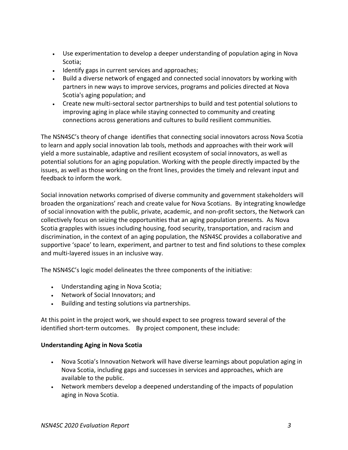- Use experimentation to develop a deeper understanding of population aging in Nova Scotia;
- Identify gaps in current services and approaches;
- Build a diverse network of engaged and connected social innovators by working with partners in new ways to improve services, programs and policies directed at Nova Scotia's aging population; and
- Create new multi-sectoral sector partnerships to build and test potential solutions to improving aging in place while staying connected to community and creating connections across generations and cultures to build resilient communities*.*

The NSN4SC's theory of change identifies that connecting social innovators across Nova Scotia to learn and apply social innovation lab tools, methods and approaches with their work will yield a more sustainable, adaptive and resilient ecosystem of social innovators, as well as potential solutions for an aging population. Working with the people directly impacted by the issues, as well as those working on the front lines, provides the timely and relevant input and feedback to inform the work.

Social innovation networks comprised of diverse community and government stakeholders will broaden the organizations' reach and create value for Nova Scotians. By integrating knowledge of social innovation with the public, private, academic, and non-profit sectors, the Network can collectively focus on seizing the opportunities that an aging population presents. As Nova Scotia grapples with issues including housing, food security, transportation, and racism and discrimination, in the context of an aging population, the NSN4SC provides a collaborative and supportive 'space' to learn, experiment, and partner to test and find solutions to these complex and multi-layered issues in an inclusive way.

The NSN4SC's logic model delineates the three components of the initiative:

- Understanding aging in Nova Scotia;
- Network of Social Innovators; and
- Building and testing solutions via partnerships.

At this point in the project work, we should expect to see progress toward several of the identified short-term outcomes. By project component, these include:

#### **Understanding Aging in Nova Scotia**

- Nova Scotia's Innovation Network will have diverse learnings about population aging in Nova Scotia, including gaps and successes in services and approaches, which are available to the public.
- Network members develop a deepened understanding of the impacts of population aging in Nova Scotia.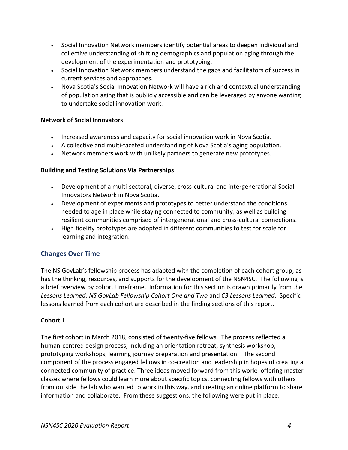- Social Innovation Network members identify potential areas to deepen individual and collective understanding of shifting demographics and population aging through the development of the experimentation and prototyping.
- Social Innovation Network members understand the gaps and facilitators of success in current services and approaches.
- Nova Scotia's Social Innovation Network will have a rich and contextual understanding of population aging that is publicly accessible and can be leveraged by anyone wanting to undertake social innovation work.

#### **Network of Social Innovators**

- Increased awareness and capacity for social innovation work in Nova Scotia.
- A collective and multi-faceted understanding of Nova Scotia's aging population.
- Network members work with unlikely partners to generate new prototypes.

### **Building and Testing Solutions Via Partnerships**

- Development of a multi-sectoral, diverse, cross-cultural and intergenerational Social Innovators Network in Nova Scotia.
- Development of experiments and prototypes to better understand the conditions needed to age in place while staying connected to community, as well as building resilient communities comprised of intergenerational and cross-cultural connections.
- High fidelity prototypes are adopted in different communities to test for scale for learning and integration.

# **Changes Over Time**

The NS GovLab's fellowship process has adapted with the completion of each cohort group, as has the thinking, resources, and supports for the development of the NSN4SC. The following is a brief overview by cohort timeframe. Information for this section is drawn primarily from the *Lessons Learned: NS GovLab Fellowship Cohort One and Two* and *C3 Lessons Learned*. Specific lessons learned from each cohort are described in the finding sections of this report.

# **Cohort 1**

The first cohort in March 2018, consisted of twenty-five fellows. The process reflected a human-centred design process, including an orientation retreat, synthesis workshop, prototyping workshops, learning journey preparation and presentation. The second component of the process engaged fellows in co-creation and leadership in hopes of creating a connected community of practice. Three ideas moved forward from this work: offering master classes where fellows could learn more about specific topics, connecting fellows with others from outside the lab who wanted to work in this way, and creating an online platform to share information and collaborate. From these suggestions, the following were put in place: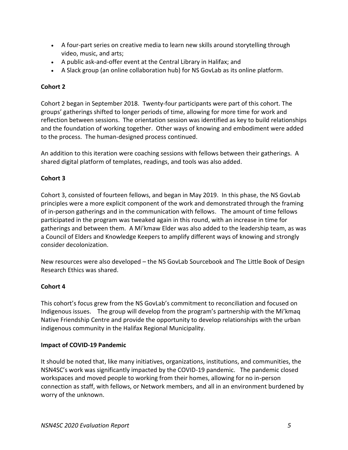- A four-part series on creative media to learn new skills around storytelling through video, music, and arts;
- A public ask-and-offer event at the Central Library in Halifax; and
- A Slack group (an online collaboration hub) for NS GovLab as its online platform.

#### **Cohort 2**

Cohort 2 began in September 2018. Twenty-four participants were part of this cohort. The groups' gatherings shifted to longer periods of time, allowing for more time for work and reflection between sessions. The orientation session was identified as key to build relationships and the foundation of working together. Other ways of knowing and embodiment were added to the process. The human-designed process continued.

An addition to this iteration were coaching sessions with fellows between their gatherings. A shared digital platform of templates, readings, and tools was also added.

# **Cohort 3**

Cohort 3, consisted of fourteen fellows, and began in May 2019. In this phase, the NS GovLab principles were a more explicit component of the work and demonstrated through the framing of in-person gatherings and in the communication with fellows. The amount of time fellows participated in the program was tweaked again in this round, with an increase in time for gatherings and between them. A Mi'kmaw Elder was also added to the leadership team, as was a Council of Elders and Knowledge Keepers to amplify different ways of knowing and strongly consider decolonization.

New resources were also developed – the NS GovLab Sourcebook and The Little Book of Design Research Ethics was shared.

#### **Cohort 4**

This cohort's focus grew from the NS GovLab's commitment to reconciliation and focused on Indigenous issues. The group will develop from the program's partnership with the Mi'kmaq Native Friendship Centre and provide the opportunity to develop relationships with the urban indigenous community in the Halifax Regional Municipality.

#### **Impact of COVID-19 Pandemic**

It should be noted that, like many initiatives, organizations, institutions, and communities, the NSN4SC's work was significantly impacted by the COVID-19 pandemic. The pandemic closed workspaces and moved people to working from their homes, allowing for no in-person connection as staff, with fellows, or Network members, and all in an environment burdened by worry of the unknown.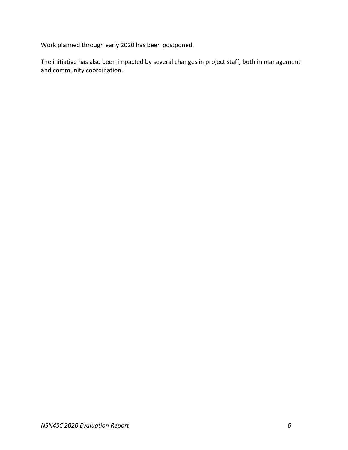Work planned through early 2020 has been postponed.

The initiative has also been impacted by several changes in project staff, both in management and community coordination.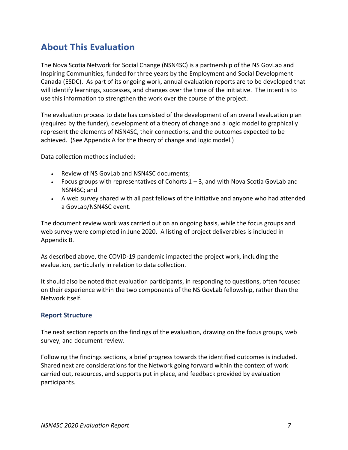# **About This Evaluation**

The Nova Scotia Network for Social Change (NSN4SC) is a partnership of the NS GovLab and Inspiring Communities, funded for three years by the Employment and Social Development Canada (ESDC). As part of its ongoing work, annual evaluation reports are to be developed that will identify learnings, successes, and changes over the time of the initiative. The intent is to use this information to strengthen the work over the course of the project.

The evaluation process to date has consisted of the development of an overall evaluation plan (required by the funder), development of a theory of change and a logic model to graphically represent the elements of NSN4SC, their connections, and the outcomes expected to be achieved. (See Appendix A for the theory of change and logic model.)

Data collection methods included:

- Review of NS GovLab and NSN4SC documents;
- Focus groups with representatives of Cohorts  $1 3$ , and with Nova Scotia GovLab and NSN4SC; and
- A web survey shared with all past fellows of the initiative and anyone who had attended a GovLab/NSN4SC event.

The document review work was carried out on an ongoing basis, while the focus groups and web survey were completed in June 2020. A listing of project deliverables is included in Appendix B.

As described above, the COVID-19 pandemic impacted the project work, including the evaluation, particularly in relation to data collection.

It should also be noted that evaluation participants, in responding to questions, often focused on their experience within the two components of the NS GovLab fellowship, rather than the Network itself.

#### **Report Structure**

The next section reports on the findings of the evaluation, drawing on the focus groups, web survey, and document review.

Following the findings sections, a brief progress towards the identified outcomes is included. Shared next are considerations for the Network going forward within the context of work carried out, resources, and supports put in place, and feedback provided by evaluation participants.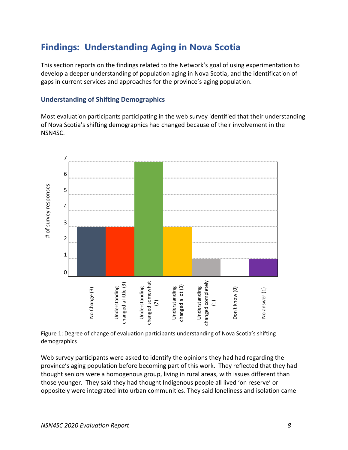# **Findings: Understanding Aging in Nova Scotia**

This section reports on the findings related to the Network's goal of using experimentation to develop a deeper understanding of population aging in Nova Scotia, and the identification of gaps in current services and approaches for the province's aging population.

#### **Understanding of Shifting Demographics**

Most evaluation participants participating in the web survey identified that their understanding of Nova Scotia's shifting demographics had changed because of their involvement in the NSN4SC.



Figure 1: Degree of change of evaluation participants understanding of Nova Scotia's shifting demographics

Web survey participants were asked to identify the opinions they had had regarding the province's aging population before becoming part of this work. They reflected that they had thought seniors were a homogenous group, living in rural areas, with issues different than those younger. They said they had thought Indigenous people all lived 'on reserve' or oppositely were integrated into urban communities. They said loneliness and isolation came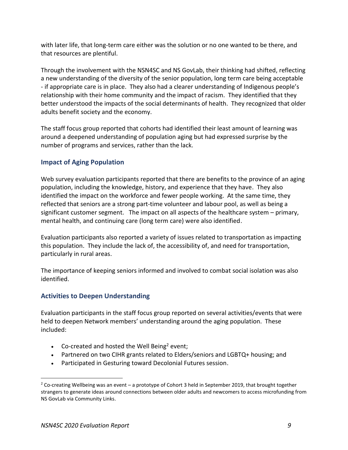with later life, that long-term care either was the solution or no one wanted to be there, and that resources are plentiful.

Through the involvement with the NSN4SC and NS GovLab, their thinking had shifted, reflecting a new understanding of the diversity of the senior population, long term care being acceptable - if appropriate care is in place. They also had a clearer understanding of Indigenous people's relationship with their home community and the impact of racism. They identified that they better understood the impacts of the social determinants of health. They recognized that older adults benefit society and the economy.

The staff focus group reported that cohorts had identified their least amount of learning was around a deepened understanding of population aging but had expressed surprise by the number of programs and services, rather than the lack.

# **Impact of Aging Population**

Web survey evaluation participants reported that there are benefits to the province of an aging population, including the knowledge, history, and experience that they have. They also identified the impact on the workforce and fewer people working. At the same time, they reflected that seniors are a strong part-time volunteer and labour pool, as well as being a significant customer segment. The impact on all aspects of the healthcare system – primary, mental health, and continuing care (long term care) were also identified.

Evaluation participants also reported a variety of issues related to transportation as impacting this population. They include the lack of, the accessibility of, and need for transportation, particularly in rural areas.

The importance of keeping seniors informed and involved to combat social isolation was also identified.

# **Activities to Deepen Understanding**

Evaluation participants in the staff focus group reported on several activities/events that were held to deepen Network members' understanding around the aging population. These included:

- Co-created and hosted the Well Being<sup>2</sup> event;
- Partnered on two CIHR grants related to Elders/seniors and LGBTQ+ housing; and
- Participated in Gesturing toward Decolonial Futures session.

<sup>&</sup>lt;sup>2</sup> Co-creating Wellbeing was an event – a prototype of Cohort 3 held in September 2019, that brought together strangers to generate ideas around connections between older adults and newcomers to access microfunding from NS GovLab via Community Links.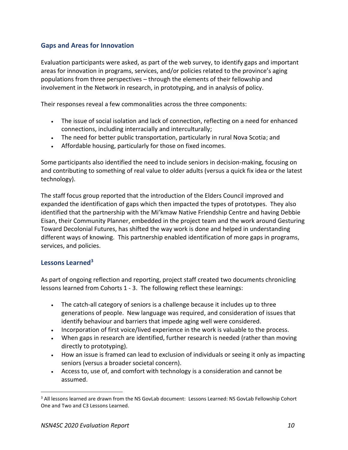### **Gaps and Areas for Innovation**

Evaluation participants were asked, as part of the web survey, to identify gaps and important areas for innovation in programs, services, and/or policies related to the province's aging populations from three perspectives – through the elements of their fellowship and involvement in the Network in research, in prototyping, and in analysis of policy.

Their responses reveal a few commonalities across the three components:

- The issue of social isolation and lack of connection, reflecting on a need for enhanced connections, including interracially and interculturally;
- The need for better public transportation, particularly in rural Nova Scotia; and
- Affordable housing, particularly for those on fixed incomes.

Some participants also identified the need to include seniors in decision-making, focusing on and contributing to something of real value to older adults (versus a quick fix idea or the latest technology).

The staff focus group reported that the introduction of the Elders Council improved and expanded the identification of gaps which then impacted the types of prototypes. They also identified that the partnership with the Mi'kmaw Native Friendship Centre and having Debbie Eisan, their Community Planner, embedded in the project team and the work around Gesturing Toward Decolonial Futures, has shifted the way work is done and helped in understanding different ways of knowing. This partnership enabled identification of more gaps in programs, services, and policies.

# **Lessons Learned<sup>3</sup>**

As part of ongoing reflection and reporting, project staff created two documents chronicling lessons learned from Cohorts 1 - 3. The following reflect these learnings:

- The catch-all category of seniors is a challenge because it includes up to three generations of people. New language was required, and consideration of issues that identify behaviour and barriers that impede aging well were considered.
- Incorporation of first voice/lived experience in the work is valuable to the process.
- When gaps in research are identified, further research is needed (rather than moving directly to prototyping).
- How an issue is framed can lead to exclusion of individuals or seeing it only as impacting seniors (versus a broader societal concern).
- Access to, use of, and comfort with technology is a consideration and cannot be assumed.

<sup>&</sup>lt;sup>3</sup> All lessons learned are drawn from the NS GovLab document: Lessons Learned: NS GovLab Fellowship Cohort One and Two and C3 Lessons Learned.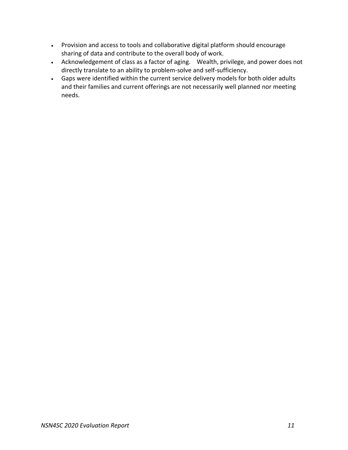- Provision and access to tools and collaborative digital platform should encourage sharing of data and contribute to the overall body of work.
- Acknowledgement of class as a factor of aging. Wealth, privilege, and power does not directly translate to an ability to problem-solve and self-sufficiency.
- Gaps were identified within the current service delivery models for both older adults and their families and current offerings are not necessarily well planned nor meeting needs.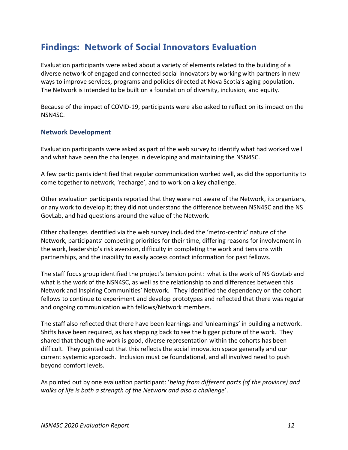# **Findings: Network of Social Innovators Evaluation**

Evaluation participants were asked about a variety of elements related to the building of a diverse network of engaged and connected social innovators by working with partners in new ways to improve services, programs and policies directed at Nova Scotia's aging population. The Network is intended to be built on a foundation of diversity, inclusion, and equity.

Because of the impact of COVID-19, participants were also asked to reflect on its impact on the NSN4SC.

#### **Network Development**

Evaluation participants were asked as part of the web survey to identify what had worked well and what have been the challenges in developing and maintaining the NSN4SC.

A few participants identified that regular communication worked well, as did the opportunity to come together to network, 'recharge', and to work on a key challenge.

Other evaluation participants reported that they were not aware of the Network, its organizers, or any work to develop it; they did not understand the difference between NSN4SC and the NS GovLab, and had questions around the value of the Network.

Other challenges identified via the web survey included the 'metro-centric' nature of the Network, participants' competing priorities for their time, differing reasons for involvement in the work, leadership's risk aversion, difficulty in completing the work and tensions with partnerships, and the inability to easily access contact information for past fellows.

The staff focus group identified the project's tension point: what is the work of NS GovLab and what is the work of the NSN4SC, as well as the relationship to and differences between this Network and Inspiring Communities' Network. They identified the dependency on the cohort fellows to continue to experiment and develop prototypes and reflected that there was regular and ongoing communication with fellows/Network members.

The staff also reflected that there have been learnings and 'unlearnings' in building a network. Shifts have been required, as has stepping back to see the bigger picture of the work. They shared that though the work is good, diverse representation within the cohorts has been difficult. They pointed out that this reflects the social innovation space generally and our current systemic approach. Inclusion must be foundational, and all involved need to push beyond comfort levels.

As pointed out by one evaluation participant: '*being from different parts (of the province) and walks of life is both a strength of the Network and also a challenge*'.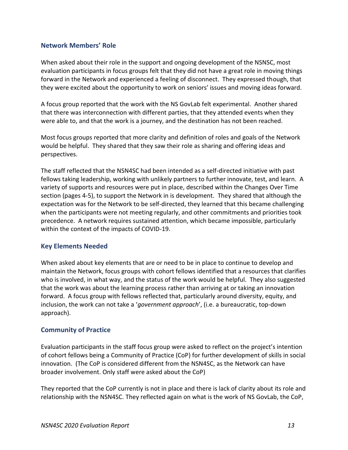#### **Network Members' Role**

When asked about their role in the support and ongoing development of the NSNSC, most evaluation participants in focus groups felt that they did not have a great role in moving things forward in the Network and experienced a feeling of disconnect. They expressed though, that they were excited about the opportunity to work on seniors' issues and moving ideas forward.

A focus group reported that the work with the NS GovLab felt experimental. Another shared that there was interconnection with different parties, that they attended events when they were able to, and that the work is a journey, and the destination has not been reached.

Most focus groups reported that more clarity and definition of roles and goals of the Network would be helpful. They shared that they saw their role as sharing and offering ideas and perspectives.

The staff reflected that the NSN4SC had been intended as a self-directed initiative with past fellows taking leadership, working with unlikely partners to further innovate, test, and learn. A variety of supports and resources were put in place, described within the Changes Over Time section (pages 4-5), to support the Network in is development. They shared that although the expectation was for the Network to be self-directed, they learned that this became challenging when the participants were not meeting regularly, and other commitments and priorities took precedence. A network requires sustained attention, which became impossible, particularly within the context of the impacts of COVID-19.

#### **Key Elements Needed**

When asked about key elements that are or need to be in place to continue to develop and maintain the Network, focus groups with cohort fellows identified that a resources that clarifies who is involved, in what way, and the status of the work would be helpful. They also suggested that the work was about the learning process rather than arriving at or taking an innovation forward. A focus group with fellows reflected that, particularly around diversity, equity, and inclusion, the work can not take a '*government approach*', (i.e. a bureaucratic, top-down approach).

#### **Community of Practice**

Evaluation participants in the staff focus group were asked to reflect on the project's intention of cohort fellows being a Community of Practice (CoP) for further development of skills in social innovation. (The CoP is considered different from the NSN4SC, as the Network can have broader involvement. Only staff were asked about the CoP)

They reported that the CoP currently is not in place and there is lack of clarity about its role and relationship with the NSN4SC. They reflected again on what is the work of NS GovLab, the CoP,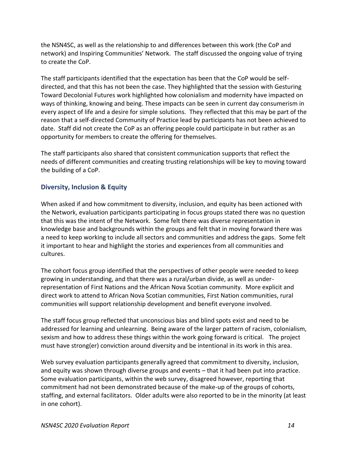the NSN4SC, as well as the relationship to and differences between this work (the CoP and network) and Inspiring Communities' Network. The staff discussed the ongoing value of trying to create the CoP.

The staff participants identified that the expectation has been that the CoP would be selfdirected, and that this has not been the case. They highlighted that the session with Gesturing Toward Decolonial Futures work highlighted how colonialism and modernity have impacted on ways of thinking, knowing and being. These impacts can be seen in current day consumerism in every aspect of life and a desire for simple solutions. They reflected that this may be part of the reason that a self-directed Community of Practice lead by participants has not been achieved to date. Staff did not create the CoP as an offering people could participate in but rather as an opportunity for members to create the offering for themselves.

The staff participants also shared that consistent communication supports that reflect the needs of different communities and creating trusting relationships will be key to moving toward the building of a CoP.

# **Diversity, Inclusion & Equity**

When asked if and how commitment to diversity, inclusion, and equity has been actioned with the Network, evaluation participants participating in focus groups stated there was no question that this was the intent of the Network. Some felt there was diverse representation in knowledge base and backgrounds within the groups and felt that in moving forward there was a need to keep working to include all sectors and communities and address the gaps. Some felt it important to hear and highlight the stories and experiences from all communities and cultures.

The cohort focus group identified that the perspectives of other people were needed to keep growing in understanding, and that there was a rural/urban divide, as well as underrepresentation of First Nations and the African Nova Scotian community. More explicit and direct work to attend to African Nova Scotian communities, First Nation communities, rural communities will support relationship development and benefit everyone involved.

The staff focus group reflected that unconscious bias and blind spots exist and need to be addressed for learning and unlearning. Being aware of the larger pattern of racism, colonialism, sexism and how to address these things within the work going forward is critical. The project must have strong(er) conviction around diversity and be intentional in its work in this area.

Web survey evaluation participants generally agreed that commitment to diversity, inclusion, and equity was shown through diverse groups and events – that it had been put into practice. Some evaluation participants, within the web survey, disagreed however, reporting that commitment had not been demonstrated because of the make-up of the groups of cohorts, staffing, and external facilitators. Older adults were also reported to be in the minority (at least in one cohort).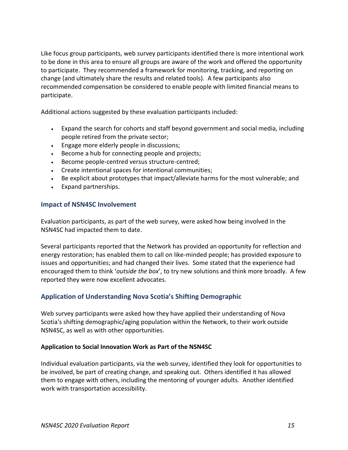Like focus group participants, web survey participants identified there is more intentional work to be done in this area to ensure all groups are aware of the work and offered the opportunity to participate. They recommended a framework for monitoring, tracking, and reporting on change (and ultimately share the results and related tools). A few participants also recommended compensation be considered to enable people with limited financial means to participate.

Additional actions suggested by these evaluation participants included:

- Expand the search for cohorts and staff beyond government and social media, including people retired from the private sector;
- Engage more elderly people in discussions;
- Become a hub for connecting people and projects;
- Become people-centred versus structure-centred;
- Create intentional spaces for intentional communities;
- Be explicit about prototypes that impact/alleviate harms for the most vulnerable; and
- Expand partnerships.

#### **Impact of NSN4SC Involvement**

Evaluation participants, as part of the web survey, were asked how being involved in the NSN4SC had impacted them to date.

Several participants reported that the Network has provided an opportunity for reflection and energy restoration; has enabled them to call on like-minded people; has provided exposure to issues and opportunities; and had changed their lives. Some stated that the experience had encouraged them to think '*outside the box*', to try new solutions and think more broadly. A few reported they were now excellent advocates.

# **Application of Understanding Nova Scotia's Shifting Demographic**

Web survey participants were asked how they have applied their understanding of Nova Scotia's shifting demographic/aging population within the Network, to their work outside NSN4SC, as well as with other opportunities.

#### **Application to Social Innovation Work as Part of the NSN4SC**

Individual evaluation participants, via the web survey, identified they look for opportunities to be involved, be part of creating change, and speaking out. Others identified it has allowed them to engage with others, including the mentoring of younger adults. Another identified work with transportation accessibility.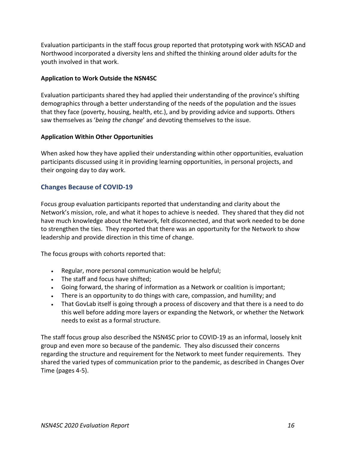Evaluation participants in the staff focus group reported that prototyping work with NSCAD and Northwood incorporated a diversity lens and shifted the thinking around older adults for the youth involved in that work.

#### **Application to Work Outside the NSN4SC**

Evaluation participants shared they had applied their understanding of the province's shifting demographics through a better understanding of the needs of the population and the issues that they face (poverty, housing, health, etc.), and by providing advice and supports. Others saw themselves as '*being the change*' and devoting themselves to the issue.

#### **Application Within Other Opportunities**

When asked how they have applied their understanding within other opportunities, evaluation participants discussed using it in providing learning opportunities, in personal projects, and their ongoing day to day work.

# **Changes Because of COVID-19**

Focus group evaluation participants reported that understanding and clarity about the Network's mission, role, and what it hopes to achieve is needed. They shared that they did not have much knowledge about the Network, felt disconnected, and that work needed to be done to strengthen the ties. They reported that there was an opportunity for the Network to show leadership and provide direction in this time of change.

The focus groups with cohorts reported that:

- Regular, more personal communication would be helpful;
- The staff and focus have shifted;
- Going forward, the sharing of information as a Network or coalition is important;
- There is an opportunity to do things with care, compassion, and humility; and
- That GovLab itself is going through a process of discovery and that there is a need to do this well before adding more layers or expanding the Network, or whether the Network needs to exist as a formal structure.

The staff focus group also described the NSN4SC prior to COVID-19 as an informal, loosely knit group and even more so because of the pandemic. They also discussed their concerns regarding the structure and requirement for the Network to meet funder requirements. They shared the varied types of communication prior to the pandemic, as described in Changes Over Time (pages 4-5).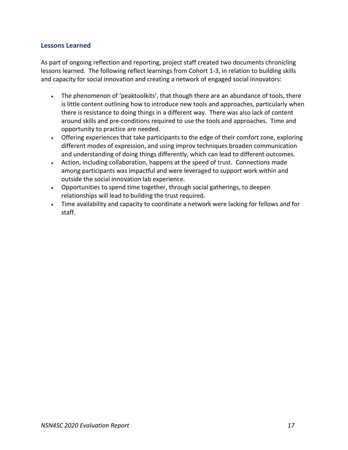#### **Lessons Learned**

As part of ongoing reflection and reporting, project staff created two documents chronicling lessons learned. The following reflect learnings from Cohort 1-3, in relation to building skills and capacity for social innovation and creating a network of engaged social innovators:

- The phenomenon of 'peaktoolkits', that though there are an abundance of tools, there is little content outlining how to introduce new tools and approaches, particularly when there is resistance to doing things in a different way. There was also lack of content around skills and pre-conditions required to use the tools and approaches. Time and opportunity to practice are needed.
- Offering experiences that take participants to the edge of their comfort zone, exploring different modes of expression, and using improv techniques broaden communication and understanding of doing things differently, which can lead to different outcomes.
- Action, including collaboration, happens at the speed of trust. Connections made among participants was impactful and were leveraged to support work within and outside the social innovation lab experience.
- Opportunities to spend time together, through social gatherings, to deepen relationships will lead to building the trust required.
- Time availability and capacity to coordinate a network were lacking for fellows and for staff.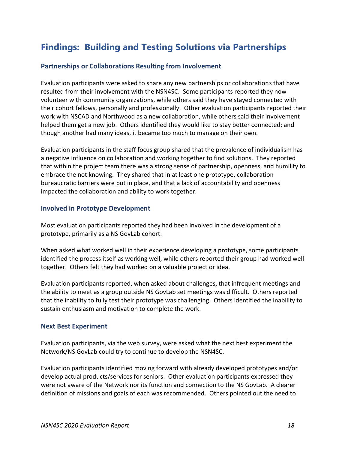# **Findings: Building and Testing Solutions via Partnerships**

#### **Partnerships or Collaborations Resulting from Involvement**

Evaluation participants were asked to share any new partnerships or collaborations that have resulted from their involvement with the NSN4SC. Some participants reported they now volunteer with community organizations, while others said they have stayed connected with their cohort fellows, personally and professionally. Other evaluation participants reported their work with NSCAD and Northwood as a new collaboration, while others said their involvement helped them get a new job. Others identified they would like to stay better connected; and though another had many ideas, it became too much to manage on their own.

Evaluation participants in the staff focus group shared that the prevalence of individualism has a negative influence on collaboration and working together to find solutions. They reported that within the project team there was a strong sense of partnership, openness, and humility to embrace the not knowing. They shared that in at least one prototype, collaboration bureaucratic barriers were put in place, and that a lack of accountability and openness impacted the collaboration and ability to work together.

#### **Involved in Prototype Development**

Most evaluation participants reported they had been involved in the development of a prototype, primarily as a NS GovLab cohort.

When asked what worked well in their experience developing a prototype, some participants identified the process itself as working well, while others reported their group had worked well together. Others felt they had worked on a valuable project or idea.

Evaluation participants reported, when asked about challenges, that infrequent meetings and the ability to meet as a group outside NS GovLab set meetings was difficult. Others reported that the inability to fully test their prototype was challenging. Others identified the inability to sustain enthusiasm and motivation to complete the work.

#### **Next Best Experiment**

Evaluation participants, via the web survey, were asked what the next best experiment the Network/NS GovLab could try to continue to develop the NSN4SC.

Evaluation participants identified moving forward with already developed prototypes and/or develop actual products/services for seniors. Other evaluation participants expressed they were not aware of the Network nor its function and connection to the NS GovLab. A clearer definition of missions and goals of each was recommended. Others pointed out the need to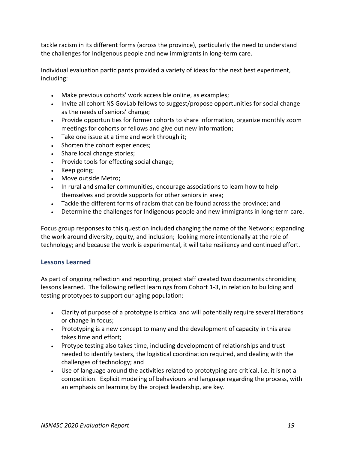tackle racism in its different forms (across the province), particularly the need to understand the challenges for Indigenous people and new immigrants in long-term care.

Individual evaluation participants provided a variety of ideas for the next best experiment, including:

- Make previous cohorts' work accessible online, as examples;
- Invite all cohort NS GovLab fellows to suggest/propose opportunities for social change as the needs of seniors' change;
- Provide opportunities for former cohorts to share information, organize monthly zoom meetings for cohorts or fellows and give out new information;
- Take one issue at a time and work through it;
- Shorten the cohort experiences;
- Share local change stories;
- Provide tools for effecting social change;
- Keep going;
- Move outside Metro;
- In rural and smaller communities, encourage associations to learn how to help themselves and provide supports for other seniors in area;
- Tackle the different forms of racism that can be found across the province; and
- Determine the challenges for Indigenous people and new immigrants in long-term care.

Focus group responses to this question included changing the name of the Network; expanding the work around diversity, equity, and inclusion; looking more intentionally at the role of technology; and because the work is experimental, it will take resiliency and continued effort.

# **Lessons Learned**

As part of ongoing reflection and reporting, project staff created two documents chronicling lessons learned. The following reflect learnings from Cohort 1-3, in relation to building and testing prototypes to support our aging population:

- Clarity of purpose of a prototype is critical and will potentially require several iterations or change in focus;
- Prototyping is a new concept to many and the development of capacity in this area takes time and effort;
- Protype testing also takes time, including development of relationships and trust needed to identify testers, the logistical coordination required, and dealing with the challenges of technology; and
- Use of language around the activities related to prototyping are critical, i.e. it is not a competition. Explicit modeling of behaviours and language regarding the process, with an emphasis on learning by the project leadership, are key.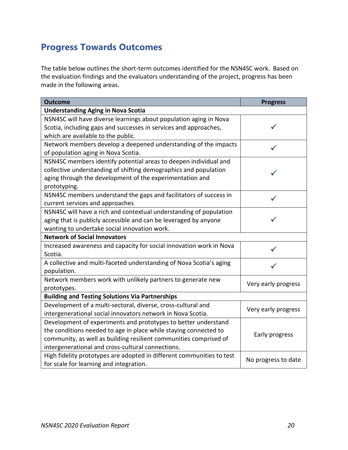# **Progress Towards Outcomes**

The table below outlines the short-term outcomes identified for the NSN4SC work. Based on the evaluation findings and the evaluators understanding of the project, progress has been made in the following areas.

| <b>Outcome</b>                                                        | <b>Progress</b>     |
|-----------------------------------------------------------------------|---------------------|
| <b>Understanding Aging in Nova Scotia</b>                             |                     |
| NSN4SC will have diverse learnings about population aging in Nova     |                     |
| Scotia, including gaps and successes in services and approaches,      |                     |
| which are available to the public.                                    |                     |
| Network members develop a deepened understanding of the impacts       |                     |
| of population aging in Nova Scotia.                                   |                     |
| NSN4SC members identify potential areas to deepen individual and      |                     |
| collective understanding of shifting demographics and population      |                     |
| aging through the development of the experimentation and              |                     |
| prototyping.                                                          |                     |
| NSN4SC members understand the gaps and facilitators of success in     |                     |
| current services and approaches                                       |                     |
| NSN4SC will have a rich and contextual understanding of population    |                     |
| aging that is publicly accessible and can be leveraged by anyone      |                     |
| wanting to undertake social innovation work.                          |                     |
| <b>Network of Social Innovators</b>                                   |                     |
| Increased awareness and capacity for social innovation work in Nova   |                     |
| Scotia.                                                               |                     |
| A collective and multi-faceted understanding of Nova Scotia's aging   |                     |
| population.                                                           |                     |
| Network members work with unlikely partners to generate new           | Very early progress |
| prototypes.                                                           |                     |
| <b>Building and Testing Solutions Via Partnerships</b>                |                     |
| Development of a multi-sectoral, diverse, cross-cultural and          | Very early progress |
| intergenerational social innovators network in Nova Scotia.           |                     |
| Development of experiments and prototypes to better understand        |                     |
| the conditions needed to age in place while staying connected to      | Early progress      |
| community, as well as building resilient communities comprised of     |                     |
| intergenerational and cross-cultural connections.                     |                     |
| High fidelity prototypes are adopted in different communities to test | No progress to date |
| for scale for learning and integration.                               |                     |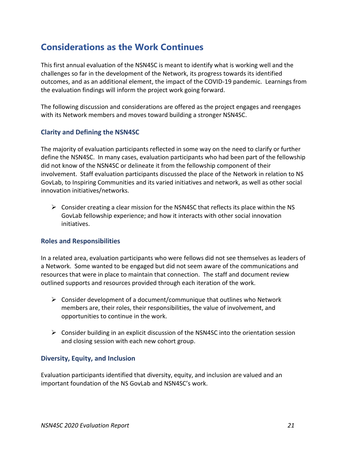# **Considerations as the Work Continues**

This first annual evaluation of the NSN4SC is meant to identify what is working well and the challenges so far in the development of the Network, its progress towards its identified outcomes, and as an additional element, the impact of the COVID-19 pandemic. Learnings from the evaluation findings will inform the project work going forward.

The following discussion and considerations are offered as the project engages and reengages with its Network members and moves toward building a stronger NSN4SC.

### **Clarity and Defining the NSN4SC**

The majority of evaluation participants reflected in some way on the need to clarify or further define the NSN4SC. In many cases, evaluation participants who had been part of the fellowship did not know of the NSN4SC or delineate it from the fellowship component of their involvement. Staff evaluation participants discussed the place of the Network in relation to NS GovLab, to Inspiring Communities and its varied initiatives and network, as well as other social innovation initiatives/networks.

 $\triangleright$  Consider creating a clear mission for the NSN4SC that reflects its place within the NS GovLab fellowship experience; and how it interacts with other social innovation initiatives.

#### **Roles and Responsibilities**

In a related area, evaluation participants who were fellows did not see themselves as leaders of a Network. Some wanted to be engaged but did not seem aware of the communications and resources that were in place to maintain that connection. The staff and document review outlined supports and resources provided through each iteration of the work.

- $\triangleright$  Consider development of a document/communique that outlines who Network members are, their roles, their responsibilities, the value of involvement, and opportunities to continue in the work.
- $\triangleright$  Consider building in an explicit discussion of the NSN4SC into the orientation session and closing session with each new cohort group.

#### **Diversity, Equity, and Inclusion**

Evaluation participants identified that diversity, equity, and inclusion are valued and an important foundation of the NS GovLab and NSN4SC's work.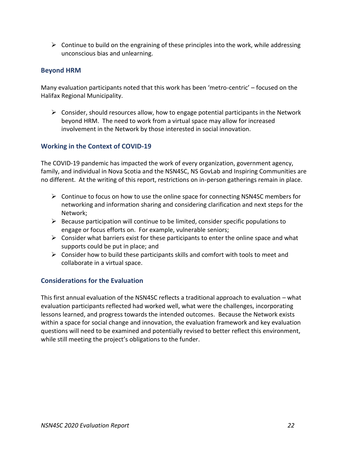$\triangleright$  Continue to build on the engraining of these principles into the work, while addressing unconscious bias and unlearning.

#### **Beyond HRM**

Many evaluation participants noted that this work has been 'metro-centric' – focused on the Halifax Regional Municipality.

 $\triangleright$  Consider, should resources allow, how to engage potential participants in the Network beyond HRM. The need to work from a virtual space may allow for increased involvement in the Network by those interested in social innovation.

### **Working in the Context of COVID-19**

The COVID-19 pandemic has impacted the work of every organization, government agency, family, and individual in Nova Scotia and the NSN4SC, NS GovLab and Inspiring Communities are no different. At the writing of this report, restrictions on in-person gatherings remain in place.

- ➢ Continue to focus on how to use the online space for connecting NSN4SC members for networking and information sharing and considering clarification and next steps for the Network;
- $\triangleright$  Because participation will continue to be limited, consider specific populations to engage or focus efforts on. For example, vulnerable seniors;
- $\triangleright$  Consider what barriers exist for these participants to enter the online space and what supports could be put in place; and
- $\triangleright$  Consider how to build these participants skills and comfort with tools to meet and collaborate in a virtual space.

#### **Considerations for the Evaluation**

This first annual evaluation of the NSN4SC reflects a traditional approach to evaluation – what evaluation participants reflected had worked well, what were the challenges, incorporating lessons learned, and progress towards the intended outcomes. Because the Network exists within a space for social change and innovation, the evaluation framework and key evaluation questions will need to be examined and potentially revised to better reflect this environment, while still meeting the project's obligations to the funder.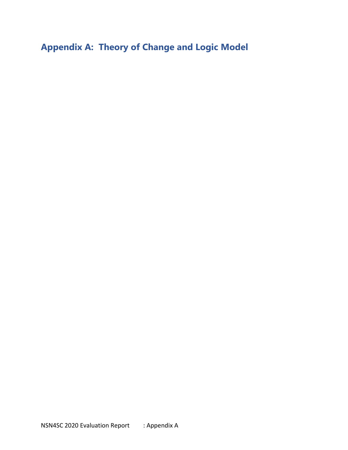**Appendix A: Theory of Change and Logic Model**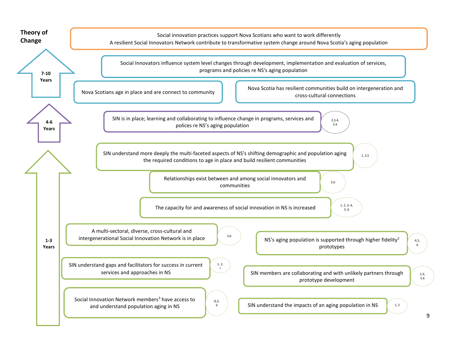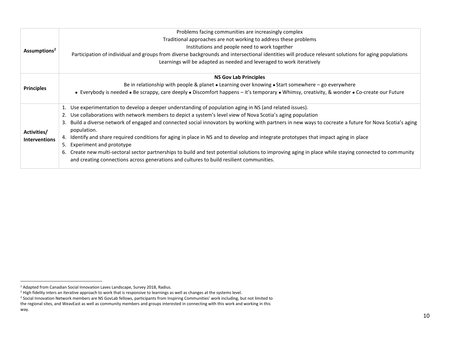|                          | Problems facing communities are increasingly complex                                                                                                                      |
|--------------------------|---------------------------------------------------------------------------------------------------------------------------------------------------------------------------|
| Assumptions <sup>2</sup> | Traditional approaches are not working to address these problems                                                                                                          |
|                          | Institutions and people need to work together                                                                                                                             |
|                          | Participation of individual and groups from diverse backgrounds and intersectional identities will produce relevant solutions for aging populations                       |
|                          | Learnings will be adapted as needed and leveraged to work iteratively                                                                                                     |
|                          | <b>NS Gov Lab Principles</b>                                                                                                                                              |
| <b>Principles</b>        | Be in relationship with people & planet $\bullet$ Learning over knowing $\bullet$ Start somewhere - go everywhere                                                         |
|                          | • Everybody is needed • Be scrappy, care deeply • Discomfort happens - it's temporary • Whimsy, creativity, & wonder • Co-create our Future                               |
|                          | Use experimentation to develop a deeper understanding of population aging in NS (and related issues).                                                                     |
|                          | 2. Use collaborations with network members to depict a system's level view of Nova Scotia's aging population                                                              |
| Activities/              | Build a diverse network of engaged and connected social innovators by working with partners in new ways to cocreate a future for Nova Scotia's aging<br>3.<br>population. |
| <b>Interventions</b>     | Identify and share required conditions for aging in place in NS and to develop and integrate prototypes that impact aging in place<br>4.                                  |
|                          | Experiment and prototype<br>5.                                                                                                                                            |
|                          | Create new multi-sectoral sector partnerships to build and test potential solutions to improving aging in place while staying connected to community<br>6.                |
|                          | and creating connections across generations and cultures to build resilient communities.                                                                                  |

<sup>&</sup>lt;sup>2</sup> Adapted from Canadian Social Innovation Laves Landscape, Survey 2018, Radius.

<sup>&</sup>lt;sup>2</sup> High fidelity inters an iterative approach to work that is responsive to learnings as well as changes at the systems level.

<sup>&</sup>lt;sup>3</sup> Social Innovation Network members are NS GovLab fellows, participants from Inspiring Communities' work including, but not limited to

the regional sites, and WeavEast as well as community members and groups interested in connecting with this work and working in this way.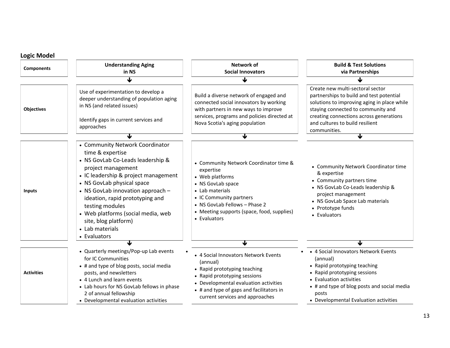| <b>Logic Model</b>                                                                                                                                                                                                                                                                                                                                                                |                                                                                                                                                                                                                                                                                   |                                                                                                                                                                                                                                          |                                                                                                                                                                                                                                                                 |
|-----------------------------------------------------------------------------------------------------------------------------------------------------------------------------------------------------------------------------------------------------------------------------------------------------------------------------------------------------------------------------------|-----------------------------------------------------------------------------------------------------------------------------------------------------------------------------------------------------------------------------------------------------------------------------------|------------------------------------------------------------------------------------------------------------------------------------------------------------------------------------------------------------------------------------------|-----------------------------------------------------------------------------------------------------------------------------------------------------------------------------------------------------------------------------------------------------------------|
| <b>Components</b>                                                                                                                                                                                                                                                                                                                                                                 | <b>Understanding Aging</b><br>in NS                                                                                                                                                                                                                                               | <b>Network of</b><br><b>Social Innovators</b>                                                                                                                                                                                            | <b>Build &amp; Test Solutions</b><br>via Partnerships                                                                                                                                                                                                           |
|                                                                                                                                                                                                                                                                                                                                                                                   | ୴                                                                                                                                                                                                                                                                                 | ↓                                                                                                                                                                                                                                        |                                                                                                                                                                                                                                                                 |
| <b>Objectives</b>                                                                                                                                                                                                                                                                                                                                                                 | Use of experimentation to develop a<br>deeper understanding of population aging<br>in NS (and related issues)<br>Identify gaps in current services and<br>approaches                                                                                                              | Build a diverse network of engaged and<br>connected social innovators by working<br>with partners in new ways to improve<br>services, programs and policies directed at<br>Nova Scotia's aging population                                | Create new multi-sectoral sector<br>partnerships to build and test potential<br>solutions to improving aging in place while<br>staying connected to community and<br>creating connections across generations<br>and cultures to build resilient<br>communities. |
|                                                                                                                                                                                                                                                                                                                                                                                   |                                                                                                                                                                                                                                                                                   | ₩                                                                                                                                                                                                                                        | ↓                                                                                                                                                                                                                                                               |
| • Community Network Coordinator<br>time & expertise<br>• NS GovLab Co-Leads leadership &<br>project management<br>• IC leadership & project management<br>• NS GovLab physical space<br>• NS GovLab innovation approach -<br><b>Inputs</b><br>ideation, rapid prototyping and<br>testing modules<br>• Web platforms (social media, web<br>site, blog platform)<br>• Lab materials |                                                                                                                                                                                                                                                                                   | • Community Network Coordinator time &<br>expertise<br>• Web platforms<br>• NS GovLab space<br>• Lab materials<br>• IC Community partners<br>• NS GovLab Fellows - Phase 2<br>• Meeting supports (space, food, supplies)<br>• Evaluators | • Community Network Coordinator time<br>& expertise<br>• Community partners time<br>• NS GovLab Co-Leads leadership &<br>project management<br>• NS GovLab Space Lab materials<br>• Prototype funds<br>• Evaluators                                             |
|                                                                                                                                                                                                                                                                                                                                                                                   | • Evaluators                                                                                                                                                                                                                                                                      | J                                                                                                                                                                                                                                        |                                                                                                                                                                                                                                                                 |
| <b>Activities</b>                                                                                                                                                                                                                                                                                                                                                                 | • Quarterly meetings/Pop-up Lab events<br>for IC Communities<br>• # and type of blog posts, social media<br>posts, and newsletters<br>• 4 Lunch and learn events<br>• Lab hours for NS GovLab fellows in phase<br>2 of annual fellowship<br>• Developmental evaluation activities | • 4 Social Innovators Network Events<br>(annual)<br>• Rapid prototyping teaching<br>• Rapid prototyping sessions<br>• Developmental evaluation activities<br>• # and type of gaps and facilitators in<br>current services and approaches | • 4 Social Innovators Network Events<br>(annual)<br>• Rapid prototyping teaching<br>• Rapid prototyping sessions<br>• Evaluation activities<br>• # and type of blog posts and social media<br>posts<br>• Developmental Evaluation activities                    |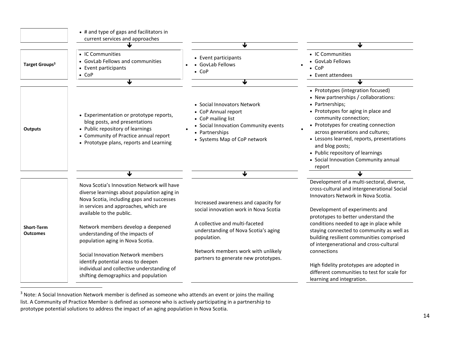|                                      | • # and type of gaps and facilitators in<br>current services and approaches                                                                                                                                 |                                                                                                                                                                    |                                                                                                                                                                                                                                                                                                                                                                                                 |
|--------------------------------------|-------------------------------------------------------------------------------------------------------------------------------------------------------------------------------------------------------------|--------------------------------------------------------------------------------------------------------------------------------------------------------------------|-------------------------------------------------------------------------------------------------------------------------------------------------------------------------------------------------------------------------------------------------------------------------------------------------------------------------------------------------------------------------------------------------|
| Target Groups <sup>3</sup>           | • IC Communities<br>• GovLab Fellows and communities<br>• Event participants<br>$\bullet$ CoP                                                                                                               | ↓<br>• Event participants<br>• GovLab Fellows<br>$\bullet$ CoP                                                                                                     | ↓<br>• IC Communities<br>• GovLab Fellows<br>$\bullet$ CoP<br>• Event attendees                                                                                                                                                                                                                                                                                                                 |
|                                      | $\overline{\textbf{v}}$                                                                                                                                                                                     | ↓                                                                                                                                                                  |                                                                                                                                                                                                                                                                                                                                                                                                 |
| <b>Outputs</b>                       | • Experimentation or prototype reports,<br>blog posts, and presentations<br>• Public repository of learnings<br>• Community of Practice annual report<br>• Prototype plans, reports and Learning            | • Social Innovators Network<br>• CoP Annual report<br>• CoP mailing list<br>• Social Innovation Community events<br>• Partnerships<br>• Systems Map of CoP network | • Prototypes (integration focused)<br>• New partnerships / collaborations:<br>• Partnerships;<br>• Prototypes for aging in place and<br>community connection;<br>• Prototypes for creating connection<br>across generations and cultures;<br>• Lessons learned, reports, presentations<br>and blog posts;<br>• Public repository of learnings<br>• Social Innovation Community annual<br>report |
|                                      | J                                                                                                                                                                                                           | €                                                                                                                                                                  | ↓                                                                                                                                                                                                                                                                                                                                                                                               |
|                                      | Nova Scotia's Innovation Network will have<br>diverse learnings about population aging in<br>Nova Scotia, including gaps and successes<br>in services and approaches, which are<br>available to the public. | Increased awareness and capacity for<br>social innovation work in Nova Scotia                                                                                      | Development of a multi-sectoral, diverse,<br>cross-cultural and intergenerational Social<br>Innovators Network in Nova Scotia.<br>Development of experiments and<br>prototypes to better understand the                                                                                                                                                                                         |
| <b>Short-Term</b><br><b>Outcomes</b> | Network members develop a deepened<br>understanding of the impacts of<br>population aging in Nova Scotia.                                                                                                   | A collective and multi-faceted<br>understanding of Nova Scotia's aging<br>population.                                                                              | conditions needed to age in place while<br>staying connected to community as well as<br>building resilient communities comprised<br>of intergenerational and cross-cultural                                                                                                                                                                                                                     |
|                                      | Social Innovation Network members<br>identify potential areas to deepen<br>individual and collective understanding of<br>shifting demographics and population                                               | Network members work with unlikely<br>partners to generate new prototypes.                                                                                         | connections<br>High fidelity prototypes are adopted in<br>different communities to test for scale for<br>learning and integration.                                                                                                                                                                                                                                                              |

 $3$  Note: A Social Innovation Network member is defined as someone who attends an event or joins the mailing list. A Community of Practice Member is defined as someone who is actively participating in a partnership to prototype potential solutions to address the impact of an aging population in Nova Scotia.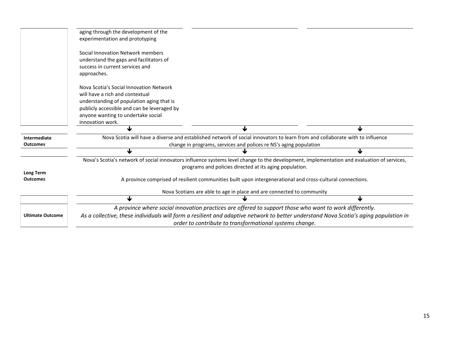|                                 | aging through the development of the<br>experimentation and prototyping                                                                                                                                                          |                                                                                                                                                                                                       |   |
|---------------------------------|----------------------------------------------------------------------------------------------------------------------------------------------------------------------------------------------------------------------------------|-------------------------------------------------------------------------------------------------------------------------------------------------------------------------------------------------------|---|
|                                 | Social Innovation Network members<br>understand the gaps and facilitators of<br>success in current services and<br>approaches.                                                                                                   |                                                                                                                                                                                                       |   |
|                                 | Nova Scotia's Social Innovation Network<br>will have a rich and contextual<br>understanding of population aging that is<br>publicly accessible and can be leveraged by<br>anyone wanting to undertake social<br>innovation work. |                                                                                                                                                                                                       |   |
|                                 |                                                                                                                                                                                                                                  | J                                                                                                                                                                                                     | ↓ |
| Intermediate<br><b>Outcomes</b> | Nova Scotia will have a diverse and established network of social innovators to learn from and collaborate with to influence<br>change in programs, services and polices re NS's aging population                                |                                                                                                                                                                                                       |   |
|                                 |                                                                                                                                                                                                                                  |                                                                                                                                                                                                       | ↓ |
| Long Term                       |                                                                                                                                                                                                                                  | Nova's Scotia's network of social innovators influence systems level change to the development, implementation and evaluation of services,<br>programs and policies directed at its aging population. |   |
| <b>Outcomes</b>                 |                                                                                                                                                                                                                                  | A province comprised of resilient communities built upon intergenerational and cross-cultural connections.                                                                                            |   |
|                                 | Nova Scotians are able to age in place and are connected to community                                                                                                                                                            |                                                                                                                                                                                                       |   |
|                                 | ⅎ                                                                                                                                                                                                                                |                                                                                                                                                                                                       | ↓ |
|                                 |                                                                                                                                                                                                                                  | A province where social innovation practices are offered to support those who want to work differently.                                                                                               |   |
| <b>Ultimate Outcome</b>         | As a collective, these individuals will form a resilient and adaptive network to better understand Nova Scotia's aging population in                                                                                             |                                                                                                                                                                                                       |   |
|                                 |                                                                                                                                                                                                                                  | order to contribute to transformational systems change.                                                                                                                                               |   |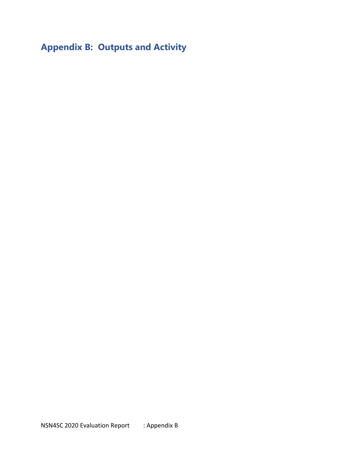# **Appendix B: Outputs and Activity**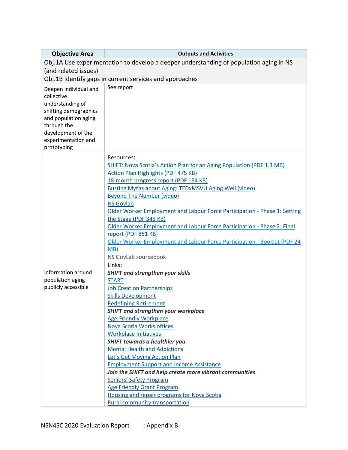| <b>Objective Area</b>                                                                                                                                                               | <b>Outputs and Activities</b>                                                                                                                                                                                                                                                                                                                                                                                                                                                                                                                                                                                                                                                                                                                                                                                                                                                                                                                                                                                                                                                                                                                                                                                                                                                                                                         |  |
|-------------------------------------------------------------------------------------------------------------------------------------------------------------------------------------|---------------------------------------------------------------------------------------------------------------------------------------------------------------------------------------------------------------------------------------------------------------------------------------------------------------------------------------------------------------------------------------------------------------------------------------------------------------------------------------------------------------------------------------------------------------------------------------------------------------------------------------------------------------------------------------------------------------------------------------------------------------------------------------------------------------------------------------------------------------------------------------------------------------------------------------------------------------------------------------------------------------------------------------------------------------------------------------------------------------------------------------------------------------------------------------------------------------------------------------------------------------------------------------------------------------------------------------|--|
| Obj.1A Use experimentation to develop a deeper understanding of population aging in NS                                                                                              |                                                                                                                                                                                                                                                                                                                                                                                                                                                                                                                                                                                                                                                                                                                                                                                                                                                                                                                                                                                                                                                                                                                                                                                                                                                                                                                                       |  |
| (and related issues)                                                                                                                                                                |                                                                                                                                                                                                                                                                                                                                                                                                                                                                                                                                                                                                                                                                                                                                                                                                                                                                                                                                                                                                                                                                                                                                                                                                                                                                                                                                       |  |
|                                                                                                                                                                                     | Obj.1B Identify gaps in current services and approaches                                                                                                                                                                                                                                                                                                                                                                                                                                                                                                                                                                                                                                                                                                                                                                                                                                                                                                                                                                                                                                                                                                                                                                                                                                                                               |  |
| Deepen individual and<br>collective<br>understanding of<br>shifting demographics<br>and population aging<br>through the<br>development of the<br>experimentation and<br>prototyping | See report                                                                                                                                                                                                                                                                                                                                                                                                                                                                                                                                                                                                                                                                                                                                                                                                                                                                                                                                                                                                                                                                                                                                                                                                                                                                                                                            |  |
| Information around<br>population aging<br>publicly accessible                                                                                                                       | Resources:<br>SHIFT: Nova Scotia's Action Plan for an Aging Population (PDF 1.3 MB)<br><b>Action Plan Highlights (PDF 475 KB)</b><br>18-month progress report (PDF 184 KB)<br><b>Busting Myths about Aging: TEDxMSVU Aging Well (video)</b><br><b>Beyond The Number (video)</b><br><b>NS Govlab</b><br>Older Worker Employment and Labour Force Participation - Phase 1: Setting<br>the Stage (PDF 345 KB)<br>Older Worker Employment and Labour Force Participation - Phase 2: Final<br>report (PDF 851 KB)<br>Older Worker Employment and Labour Force Participation - Booklet (PDF 24<br>MB)<br>NS GovLab sourcebook<br>Links:<br><b>SHIFT and strengthen your skills</b><br><b>START</b><br><b>Job Creation Partnerships</b><br><b>Skills Development</b><br><b>Redefining Retirement</b><br><b>SHIFT and strengthen your workplace</b><br><b>Age-Friendly Workplace</b><br>Nova Scotia Works offices<br><b>Workplace Initiatives</b><br><b>SHIFT towards a healthier you</b><br><b>Mental Health and Addictions</b><br>Let's Get Moving Action Plan<br><b>Employment Support and Income Assistance</b><br>Join the SHIFT and help create more vibrant communities<br><b>Seniors' Safety Program</b><br><b>Age Friendly Grant Program</b><br>Housing and repair programs for Nova Scotia<br><b>Rural community transportation</b> |  |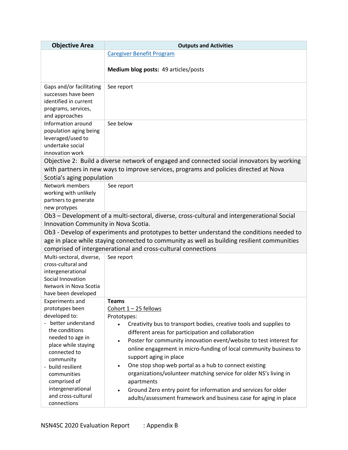| <b>Objective Area</b>                                                                                                                                                                                      | <b>Outputs and Activities</b>                                                                                                                                                                                             |
|------------------------------------------------------------------------------------------------------------------------------------------------------------------------------------------------------------|---------------------------------------------------------------------------------------------------------------------------------------------------------------------------------------------------------------------------|
|                                                                                                                                                                                                            | <b>Caregiver Benefit Program</b>                                                                                                                                                                                          |
|                                                                                                                                                                                                            | Medium blog posts: 49 articles/posts                                                                                                                                                                                      |
| Gaps and/or facilitating<br>successes have been<br>identified in current<br>programs, services,<br>and approaches<br>Information around<br>population aging being<br>leveraged/used to<br>undertake social | See report<br>See below                                                                                                                                                                                                   |
| innovation work                                                                                                                                                                                            |                                                                                                                                                                                                                           |
|                                                                                                                                                                                                            | Objective 2: Build a diverse network of engaged and connected social innovators by working                                                                                                                                |
| Scotia's aging population                                                                                                                                                                                  | with partners in new ways to improve services, programs and policies directed at Nova                                                                                                                                     |
| Network members<br>working with unlikely<br>partners to generate<br>new protypes                                                                                                                           | See report                                                                                                                                                                                                                |
|                                                                                                                                                                                                            | Ob3 - Development of a multi-sectoral, diverse, cross-cultural and intergenerational Social                                                                                                                               |
| Innovation Community in Nova Scotia.                                                                                                                                                                       |                                                                                                                                                                                                                           |
|                                                                                                                                                                                                            | Ob3 - Develop of experiments and prototypes to better understand the conditions needed to                                                                                                                                 |
|                                                                                                                                                                                                            | age in place while staying connected to community as well as building resilient communities                                                                                                                               |
|                                                                                                                                                                                                            | comprised of intergenerational and cross-cultural connections                                                                                                                                                             |
| Multi-sectoral, diverse,<br>cross-cultural and<br>intergenerational<br>Social Innovation<br>Network in Nova Scotia<br>have been developed                                                                  | See report                                                                                                                                                                                                                |
| <b>Experiments and</b>                                                                                                                                                                                     | <b>Teams</b>                                                                                                                                                                                                              |
| prototypes been                                                                                                                                                                                            | Cohort 1-25 fellows                                                                                                                                                                                                       |
| developed to:                                                                                                                                                                                              | Prototypes:                                                                                                                                                                                                               |
| - better understand<br>the conditions<br>needed to age in<br>place while staying                                                                                                                           | Creativity bus to transport bodies, creative tools and supplies to<br>$\bullet$<br>different areas for participation and collaboration<br>Poster for community innovation event/website to test interest for<br>$\bullet$ |
| connected to                                                                                                                                                                                               | online engagement in micro-funding of local community business to<br>support aging in place                                                                                                                               |
| community<br>- build resilient                                                                                                                                                                             | One stop shop web portal as a hub to connect existing<br>$\bullet$                                                                                                                                                        |
| communities                                                                                                                                                                                                | organizations/volunteer matching service for older NS's living in                                                                                                                                                         |
| comprised of                                                                                                                                                                                               | apartments                                                                                                                                                                                                                |
| intergenerational                                                                                                                                                                                          | Ground Zero entry point for information and services for older                                                                                                                                                            |
| and cross-cultural<br>connections                                                                                                                                                                          | adults/assessment framework and business case for aging in place                                                                                                                                                          |